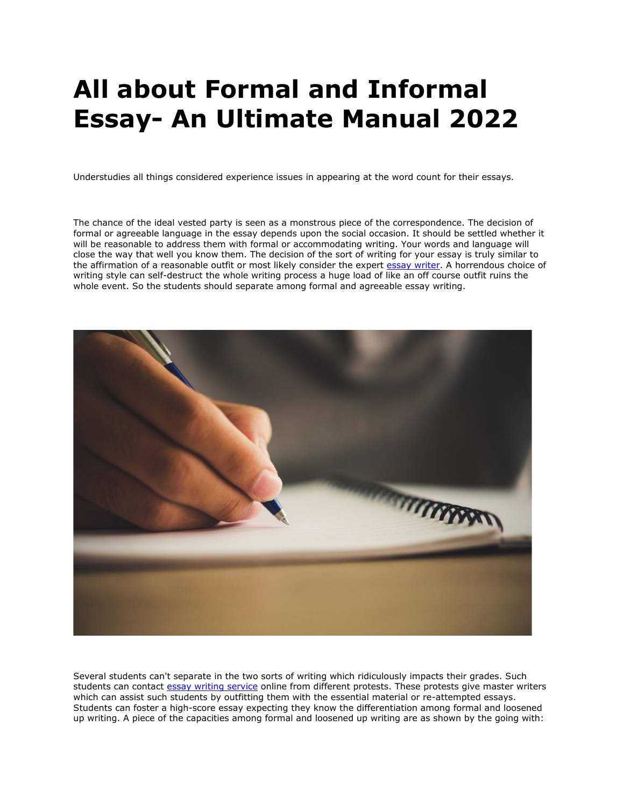# **All about Formal and Informal Essay- An Ultimate Manual 2022**

Understudies all things considered experience issues in appearing at the word count for their essays.

The chance of the ideal vested party is seen as a monstrous piece of the correspondence. The decision of formal or agreeable language in the essay depends upon the social occasion. It should be settled whether it will be reasonable to address them with formal or accommodating writing. Your words and language will close the way that well you know them. The decision of the sort of writing for your essay is truly similar to the affirmation of a reasonable outfit or most likely consider the expert [essay writer.](https://www.collegeessay.org/) A horrendous choice of writing style can self-destruct the whole writing process a huge load of like an off course outfit ruins the whole event. So the students should separate among formal and agreeable essay writing.



Several students can't separate in the two sorts of writing which ridiculously impacts their grades. Such students can contact [essay writing service](https://theessaywritingservice.com/) online from different protests. These protests give master writers which can assist such students by outfitting them with the essential material or re-attempted essays. Students can foster a high-score essay expecting they know the differentiation among formal and loosened up writing. A piece of the capacities among formal and loosened up writing are as shown by the going with: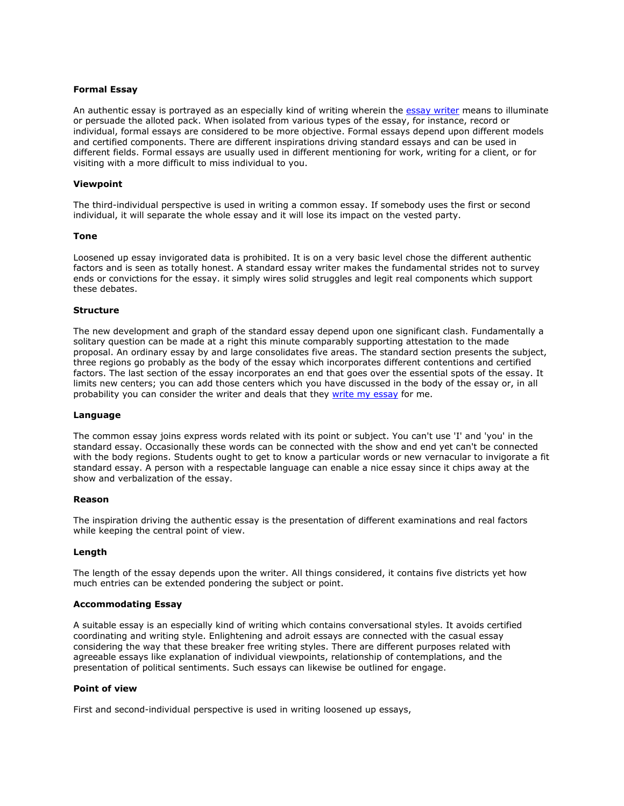# **Formal Essay**

An authentic essay is portrayed as an especially kind of writing wherein the [essay writer](https://www.5staressays.com/) means to illuminate or persuade the alloted pack. When isolated from various types of the essay, for instance, record or individual, formal essays are considered to be more objective. Formal essays depend upon different models and certified components. There are different inspirations driving standard essays and can be used in different fields. Formal essays are usually used in different mentioning for work, writing for a client, or for visiting with a more difficult to miss individual to you.

# **Viewpoint**

The third-individual perspective is used in writing a common essay. If somebody uses the first or second individual, it will separate the whole essay and it will lose its impact on the vested party.

# **Tone**

Loosened up essay invigorated data is prohibited. It is on a very basic level chose the different authentic factors and is seen as totally honest. A standard essay writer makes the fundamental strides not to survey ends or convictions for the essay. it simply wires solid struggles and legit real components which support these debates.

# **Structure**

The new development and graph of the standard essay depend upon one significant clash. Fundamentally a solitary question can be made at a right this minute comparably supporting attestation to the made proposal. An ordinary essay by and large consolidates five areas. The standard section presents the subject, three regions go probably as the body of the essay which incorporates different contentions and certified factors. The last section of the essay incorporates an end that goes over the essential spots of the essay. It limits new centers; you can add those centers which you have discussed in the body of the essay or, in all probability you can consider the writer and deals that they [write my essay](https://www.5staressays.com/) for me.

# **Language**

The common essay joins express words related with its point or subject. You can't use 'I' and 'you' in the standard essay. Occasionally these words can be connected with the show and end yet can't be connected with the body regions. Students ought to get to know a particular words or new vernacular to invigorate a fit standard essay. A person with a respectable language can enable a nice essay since it chips away at the show and verbalization of the essay.

# **Reason**

The inspiration driving the authentic essay is the presentation of different examinations and real factors while keeping the central point of view.

# **Length**

The length of the essay depends upon the writer. All things considered, it contains five districts yet how much entries can be extended pondering the subject or point.

# **Accommodating Essay**

A suitable essay is an especially kind of writing which contains conversational styles. It avoids certified coordinating and writing style. Enlightening and adroit essays are connected with the casual essay considering the way that these breaker free writing styles. There are different purposes related with agreeable essays like explanation of individual viewpoints, relationship of contemplations, and the presentation of political sentiments. Such essays can likewise be outlined for engage.

# **Point of view**

First and second-individual perspective is used in writing loosened up essays,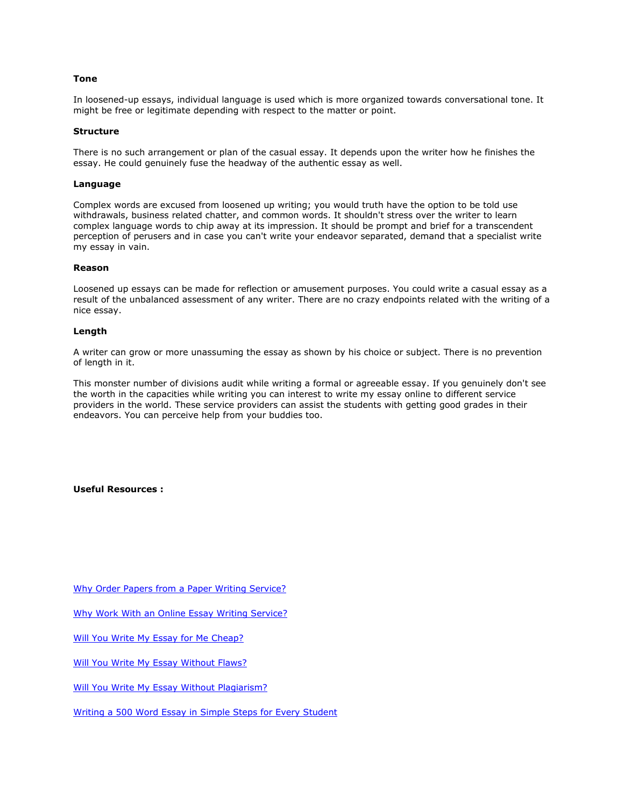# **Tone**

In loosened-up essays, individual language is used which is more organized towards conversational tone. It might be free or legitimate depending with respect to the matter or point.

# **Structure**

There is no such arrangement or plan of the casual essay. It depends upon the writer how he finishes the essay. He could genuinely fuse the headway of the authentic essay as well.

# **Language**

Complex words are excused from loosened up writing; you would truth have the option to be told use withdrawals, business related chatter, and common words. It shouldn't stress over the writer to learn complex language words to chip away at its impression. It should be prompt and brief for a transcendent perception of perusers and in case you can't write your endeavor separated, demand that a specialist write my essay in vain.

# **Reason**

Loosened up essays can be made for reflection or amusement purposes. You could write a casual essay as a result of the unbalanced assessment of any writer. There are no crazy endpoints related with the writing of a nice essay.

# **Length**

A writer can grow or more unassuming the essay as shown by his choice or subject. There is no prevention of length in it.

This monster number of divisions audit while writing a formal or agreeable essay. If you genuinely don't see the worth in the capacities while writing you can interest to write my essay online to different service providers in the world. These service providers can assist the students with getting good grades in their endeavors. You can perceive help from your buddies too.

**Useful Resources :**

[Why Order Papers from a Paper Writing Service?](https://writemyessayfast.net/paper-writing-service/why-order-papers-from-a-paper-writing-service)

[Why Work With an Online Essay Writing Service?](https://essaywriternow.com/essay-writing-service/why-work-with-an-online-essay-writing-service)

[Will You Write My Essay for Me Cheap?](https://theessaywritingservice.com/write-my-essay/will-you-write-my-essay-for-me-cheap)

[Will You Write My Essay Without Flaws?](https://essaywriternow.com/write-my-essay/will-you-write-my-essay-without-flaws)

[Will You Write My Essay Without Plagiarism?](https://writemyessayfast.net/write-my-essay/will-you-write-my-essay-without-plagiarism)

[Writing a 500 Word Essay in Simple Steps for Every Student](https://theessaywritingservice.com/blog/500-word-essay)